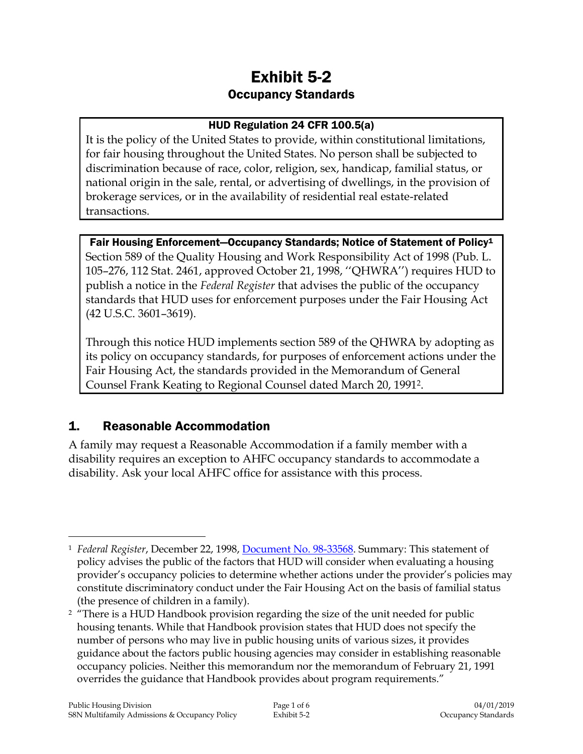# Exhibit 5-2 Occupancy Standards

### HUD Regulation 24 CFR 100.5(a)

It is the policy of the United States to provide, within constitutional limitations, for fair housing throughout the United States. No person shall be subjected to discrimination because of race, color, religion, sex, handicap, familial status, or national origin in the sale, rental, or advertising of dwellings, in the provision of brokerage services, or in the availability of residential real estate-related transactions.

### Fair Housing Enforcement—Occupancy Standards; Notice of Statement of Policy<sup>1</sup>

Section 589 of the Quality Housing and Work Responsibility Act of 1998 (Pub. L. 105–276, 112 Stat. 2461, approved October 21, 1998, ''QHWRA'') requires HUD to publish a notice in the *Federal Register* that advises the public of the occupancy standards that HUD uses for enforcement purposes under the Fair Housing Act (42 U.S.C. 3601–3619).

Through this notice HUD implements section 589 of the QHWRA by adopting as its policy on occupancy standards, for purposes of enforcement actions under the Fair Housing Act, the standards provided in the Memorandum of General Counsel Frank Keating to Regional Counsel dated March 20, 19912.

### 1. Reasonable Accommodation

A family may request a Reasonable Accommodation if a family member with a disability requires an exception to AHFC occupancy standards to accommodate a disability. Ask your local AHFC office for assistance with this process.

 $\overline{a}$ <sup>1</sup> *Federal Register*, December 22, 1998, [Document No. 98-33568.](https://intranet/download_file/14657) Summary: This statement of policy advises the public of the factors that HUD will consider when evaluating a housing provider's occupancy policies to determine whether actions under the provider's policies may constitute discriminatory conduct under the Fair Housing Act on the basis of familial status (the presence of children in a family).

<sup>&</sup>lt;sup>2</sup> "There is a HUD Handbook provision regarding the size of the unit needed for public housing tenants. While that Handbook provision states that HUD does not specify the number of persons who may live in public housing units of various sizes, it provides guidance about the factors public housing agencies may consider in establishing reasonable occupancy policies. Neither this memorandum nor the memorandum of February 21, 1991 overrides the guidance that Handbook provides about program requirements."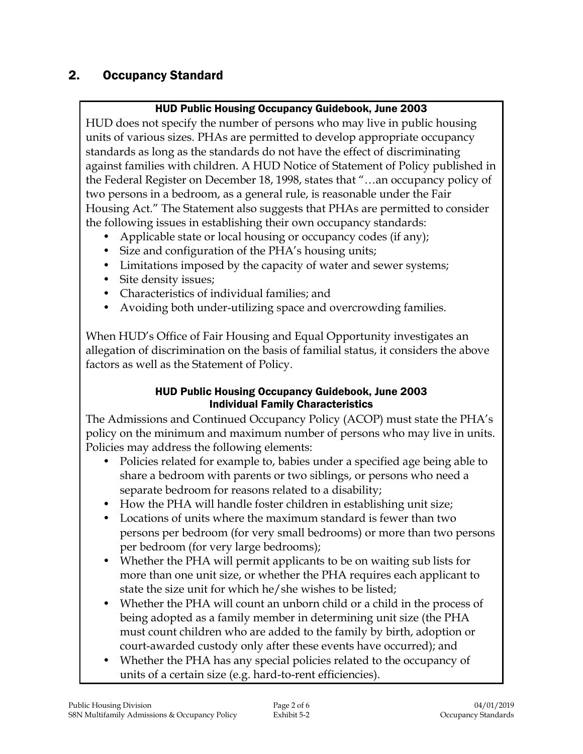## 2. Occupancy Standard

### HUD Public Housing Occupancy Guidebook, June 2003

HUD does not specify the number of persons who may live in public housing units of various sizes. PHAs are permitted to develop appropriate occupancy standards as long as the standards do not have the effect of discriminating against families with children. A HUD Notice of Statement of Policy published in the Federal Register on December 18, 1998, states that "…an occupancy policy of two persons in a bedroom, as a general rule, is reasonable under the Fair Housing Act." The Statement also suggests that PHAs are permitted to consider the following issues in establishing their own occupancy standards:

- Applicable state or local housing or occupancy codes (if any);
- Size and configuration of the PHA's housing units;
- Limitations imposed by the capacity of water and sewer systems;
- Site density issues;
- Characteristics of individual families; and
- Avoiding both under-utilizing space and overcrowding families.

When HUD's Office of Fair Housing and Equal Opportunity investigates an allegation of discrimination on the basis of familial status, it considers the above factors as well as the Statement of Policy.

#### HUD Public Housing Occupancy Guidebook, June 2003 Individual Family Characteristics

The Admissions and Continued Occupancy Policy (ACOP) must state the PHA's policy on the minimum and maximum number of persons who may live in units. Policies may address the following elements:

- Policies related for example to, babies under a specified age being able to share a bedroom with parents or two siblings, or persons who need a separate bedroom for reasons related to a disability;
- How the PHA will handle foster children in establishing unit size;
- Locations of units where the maximum standard is fewer than two persons per bedroom (for very small bedrooms) or more than two persons per bedroom (for very large bedrooms);
- Whether the PHA will permit applicants to be on waiting sub lists for more than one unit size, or whether the PHA requires each applicant to state the size unit for which he/she wishes to be listed;
- Whether the PHA will count an unborn child or a child in the process of being adopted as a family member in determining unit size (the PHA must count children who are added to the family by birth, adoption or court-awarded custody only after these events have occurred); and
- Whether the PHA has any special policies related to the occupancy of units of a certain size (e.g. hard-to-rent efficiencies).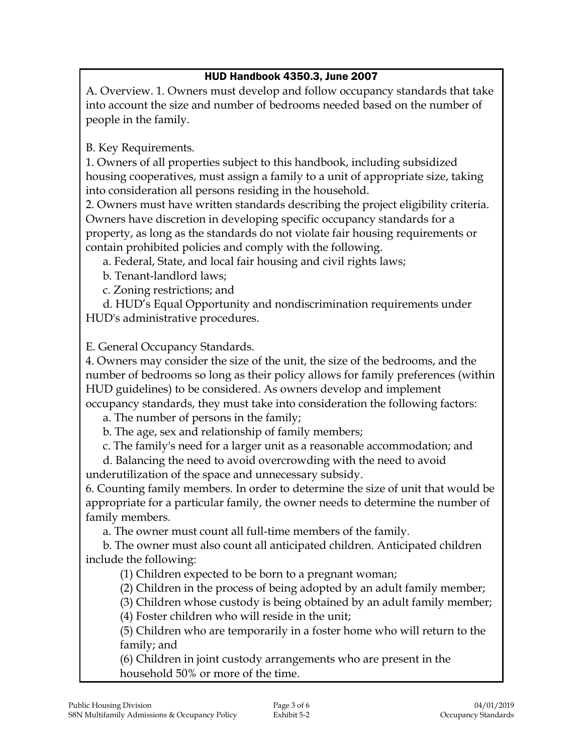### HUD Handbook 4350.3, June 2007

A. Overview. 1. Owners must develop and follow occupancy standards that take into account the size and number of bedrooms needed based on the number of people in the family.

B. Key Requirements.

1. Owners of all properties subject to this handbook, including subsidized housing cooperatives, must assign a family to a unit of appropriate size, taking into consideration all persons residing in the household.

2. Owners must have written standards describing the project eligibility criteria. Owners have discretion in developing specific occupancy standards for a property, as long as the standards do not violate fair housing requirements or contain prohibited policies and comply with the following.

a. Federal, State, and local fair housing and civil rights laws;

b. Tenant-landlord laws;

c. Zoning restrictions; and

d. HUD's Equal Opportunity and nondiscrimination requirements under HUD's administrative procedures.

E. General Occupancy Standards.

4. Owners may consider the size of the unit, the size of the bedrooms, and the number of bedrooms so long as their policy allows for family preferences (within HUD guidelines) to be considered. As owners develop and implement occupancy standards, they must take into consideration the following factors:

a. The number of persons in the family;

b. The age, sex and relationship of family members;

c. The family's need for a larger unit as a reasonable accommodation; and

d. Balancing the need to avoid overcrowding with the need to avoid underutilization of the space and unnecessary subsidy.

6. Counting family members. In order to determine the size of unit that would be appropriate for a particular family, the owner needs to determine the number of family members.

a. The owner must count all full-time members of the family.

b. The owner must also count all anticipated children. Anticipated children include the following:

(1) Children expected to be born to a pregnant woman;

(2) Children in the process of being adopted by an adult family member;

(3) Children whose custody is being obtained by an adult family member;

(4) Foster children who will reside in the unit;

(5) Children who are temporarily in a foster home who will return to the family; and

(6) Children in joint custody arrangements who are present in the household 50% or more of the time.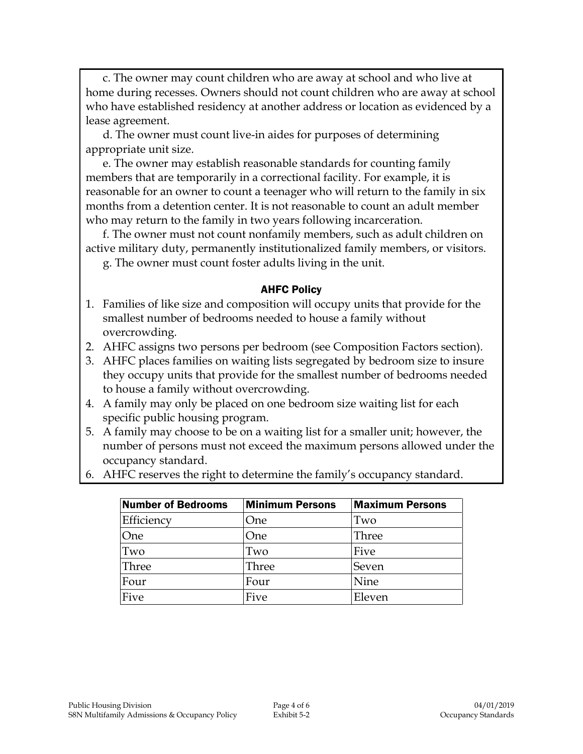c. The owner may count children who are away at school and who live at home during recesses. Owners should not count children who are away at school who have established residency at another address or location as evidenced by a lease agreement.

d. The owner must count live-in aides for purposes of determining appropriate unit size.

e. The owner may establish reasonable standards for counting family members that are temporarily in a correctional facility. For example, it is reasonable for an owner to count a teenager who will return to the family in six months from a detention center. It is not reasonable to count an adult member who may return to the family in two years following incarceration.

f. The owner must not count nonfamily members, such as adult children on active military duty, permanently institutionalized family members, or visitors. g. The owner must count foster adults living in the unit.

#### AHFC Policy

- 1. Families of like size and composition will occupy units that provide for the smallest number of bedrooms needed to house a family without overcrowding.
- 2. AHFC assigns two persons per bedroom (see Composition Factors section).
- 3. AHFC places families on waiting lists segregated by bedroom size to insure they occupy units that provide for the smallest number of bedrooms needed to house a family without overcrowding.
- 4. A family may only be placed on one bedroom size waiting list for each specific public housing program.
- 5. A family may choose to be on a waiting list for a smaller unit; however, the number of persons must not exceed the maximum persons allowed under the occupancy standard.
- 6. AHFC reserves the right to determine the family's occupancy standard.

| Number of Bedrooms | <b>Minimum Persons</b> | <b>Maximum Persons</b> |
|--------------------|------------------------|------------------------|
| Efficiency         | One                    | Two                    |
| One                | One                    | Three                  |
| Two                | Two                    | Five                   |
| Three              | Three                  | Seven                  |
| Four               | Four                   | Nine                   |
| Five               | Five                   | Eleven                 |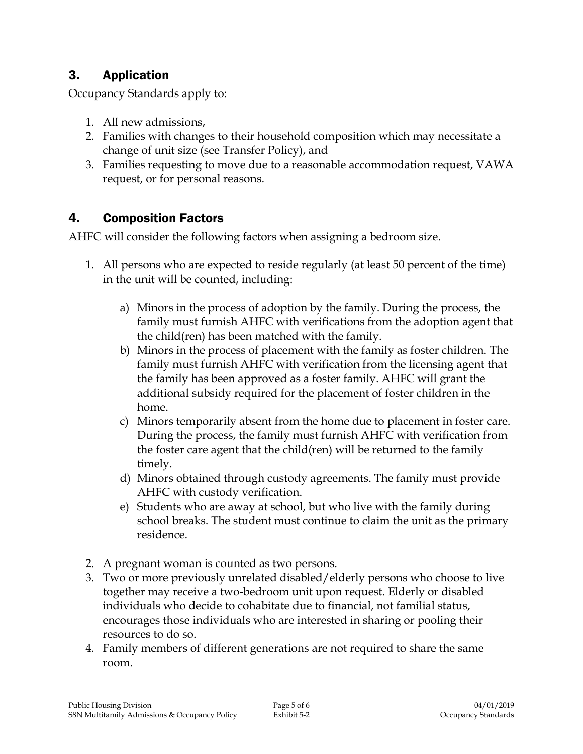## 3. Application

Occupancy Standards apply to:

- 1. All new admissions,
- 2. Families with changes to their household composition which may necessitate a change of unit size (see Transfer Policy), and
- 3. Families requesting to move due to a reasonable accommodation request, VAWA request, or for personal reasons.

## 4. Composition Factors

AHFC will consider the following factors when assigning a bedroom size.

- 1. All persons who are expected to reside regularly (at least 50 percent of the time) in the unit will be counted, including:
	- a) Minors in the process of adoption by the family. During the process, the family must furnish AHFC with verifications from the adoption agent that the child(ren) has been matched with the family.
	- b) Minors in the process of placement with the family as foster children. The family must furnish AHFC with verification from the licensing agent that the family has been approved as a foster family. AHFC will grant the additional subsidy required for the placement of foster children in the home.
	- c) Minors temporarily absent from the home due to placement in foster care. During the process, the family must furnish AHFC with verification from the foster care agent that the child(ren) will be returned to the family timely.
	- d) Minors obtained through custody agreements. The family must provide AHFC with custody verification.
	- e) Students who are away at school, but who live with the family during school breaks. The student must continue to claim the unit as the primary residence.
- 2. A pregnant woman is counted as two persons.
- 3. Two or more previously unrelated disabled/elderly persons who choose to live together may receive a two-bedroom unit upon request. Elderly or disabled individuals who decide to cohabitate due to financial, not familial status, encourages those individuals who are interested in sharing or pooling their resources to do so.
- 4. Family members of different generations are not required to share the same room.